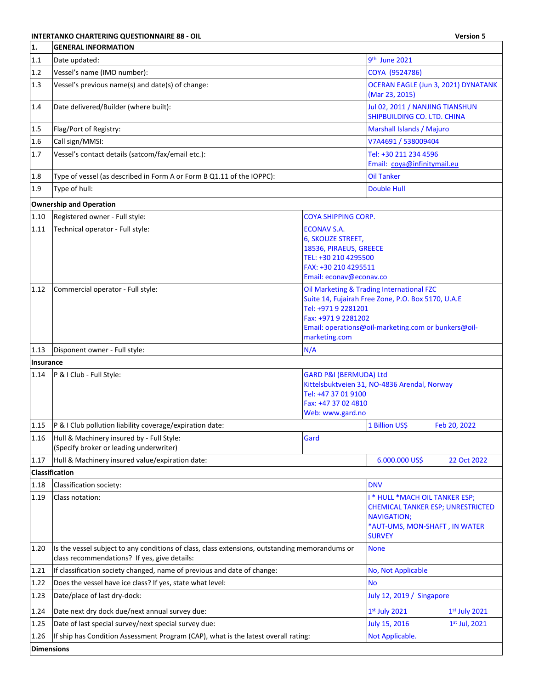## **INTERTANKO CHARTERING QUESTIONNAIRE 88 - OIL Version 5**

| 1.                | <b>GENERAL INFORMATION</b>                                                                                                                     |                                                                                                                                              |                                                                                                                                                        |                 |
|-------------------|------------------------------------------------------------------------------------------------------------------------------------------------|----------------------------------------------------------------------------------------------------------------------------------------------|--------------------------------------------------------------------------------------------------------------------------------------------------------|-----------------|
| $1.1\,$           | Date updated:                                                                                                                                  | 9 <sup>th</sup> June 2021                                                                                                                    |                                                                                                                                                        |                 |
| 1.2               | Vessel's name (IMO number):                                                                                                                    | COYA (9524786)                                                                                                                               |                                                                                                                                                        |                 |
| 1.3               | Vessel's previous name(s) and date(s) of change:                                                                                               | OCERAN EAGLE (Jun 3, 2021) DYNATANK<br>(Mar 23, 2015)                                                                                        |                                                                                                                                                        |                 |
| 1.4               | Date delivered/Builder (where built):                                                                                                          | Jul 02, 2011 / NANJING TIANSHUN<br>SHIPBUILDING CO. LTD. CHINA                                                                               |                                                                                                                                                        |                 |
| 1.5               | Flag/Port of Registry:                                                                                                                         |                                                                                                                                              | Marshall Islands / Majuro                                                                                                                              |                 |
| 1.6               | Call sign/MMSI:                                                                                                                                |                                                                                                                                              | V7A4691 / 538009404                                                                                                                                    |                 |
| 1.7               | Vessel's contact details (satcom/fax/email etc.):                                                                                              |                                                                                                                                              | Tel: +30 211 234 4596<br>Email: coya@infinitymail.eu                                                                                                   |                 |
| 1.8               | Type of vessel (as described in Form A or Form B Q1.11 of the IOPPC):                                                                          |                                                                                                                                              | <b>Oil Tanker</b>                                                                                                                                      |                 |
| 1.9               | Type of hull:                                                                                                                                  |                                                                                                                                              | <b>Double Hull</b>                                                                                                                                     |                 |
|                   | <b>Ownership and Operation</b>                                                                                                                 |                                                                                                                                              |                                                                                                                                                        |                 |
| 1.10              | Registered owner - Full style:                                                                                                                 | <b>COYA SHIPPING CORP.</b>                                                                                                                   |                                                                                                                                                        |                 |
| 1.11              | Technical operator - Full style:                                                                                                               | <b>ECONAV S.A.</b><br>6, SKOUZE STREET,<br>18536, PIRAEUS, GREECE<br>TEL: +30 210 4295500<br>FAX: +30 210 4295511<br>Email: econav@econav.co |                                                                                                                                                        |                 |
| 1.12              | Commercial operator - Full style:<br>Tel: +971 9 2281201<br>Fax: +971 9 2281202<br>marketing.com                                               |                                                                                                                                              | Oil Marketing & Trading International FZC<br>Suite 14, Fujairah Free Zone, P.O. Box 5170, U.A.E<br>Email: operations@oil-marketing.com or bunkers@oil- |                 |
| 1.13              | Disponent owner - Full style:                                                                                                                  | N/A                                                                                                                                          |                                                                                                                                                        |                 |
| <b>Insurance</b>  |                                                                                                                                                |                                                                                                                                              |                                                                                                                                                        |                 |
| 1.14              | P & I Club - Full Style:                                                                                                                       | GARD P&I (BERMUDA) Ltd<br>Tel: +47 37 01 9100<br>Fax: +47 37 02 4810<br>Web: www.gard.no                                                     | Kittelsbuktveien 31, NO-4836 Arendal, Norway                                                                                                           |                 |
| 1.15              | P & I Club pollution liability coverage/expiration date:                                                                                       |                                                                                                                                              | 1 Billion US\$                                                                                                                                         | Feb 20, 2022    |
| 1.16              | Hull & Machinery insured by - Full Style:<br>(Specify broker or leading underwriter)                                                           | Gard                                                                                                                                         |                                                                                                                                                        |                 |
| 1.17              | Hull & Machinery insured value/expiration date:                                                                                                |                                                                                                                                              | 6.000.000 US\$                                                                                                                                         | 22 Oct 2022     |
|                   | Classification                                                                                                                                 |                                                                                                                                              |                                                                                                                                                        |                 |
| 1.18              | Classification society:                                                                                                                        |                                                                                                                                              | <b>DNV</b>                                                                                                                                             |                 |
| 1.19              | Class notation:                                                                                                                                |                                                                                                                                              | I * HULL *MACH OIL TANKER ESP;<br><b>CHEMICAL TANKER ESP; UNRESTRICTED</b><br><b>NAVIGATION;</b><br>*AUT-UMS, MON-SHAFT, IN WATER<br><b>SURVEY</b>     |                 |
| 1.20              | Is the vessel subject to any conditions of class, class extensions, outstanding memorandums or<br>class recommendations? If yes, give details: |                                                                                                                                              | <b>None</b>                                                                                                                                            |                 |
| 1.21              | If classification society changed, name of previous and date of change:                                                                        |                                                                                                                                              | No, Not Applicable                                                                                                                                     |                 |
| 1.22              | Does the vessel have ice class? If yes, state what level:                                                                                      |                                                                                                                                              | <b>No</b>                                                                                                                                              |                 |
| 1.23              | Date/place of last dry-dock:                                                                                                                   |                                                                                                                                              | July 12, 2019 / Singapore                                                                                                                              |                 |
| 1.24              | Date next dry dock due/next annual survey due:                                                                                                 |                                                                                                                                              | 1st July 2021                                                                                                                                          | $1st$ July 2021 |
| 1.25              | Date of last special survey/next special survey due:                                                                                           |                                                                                                                                              | July 15, 2016                                                                                                                                          | $1st$ Jul, 2021 |
| 1.26              | If ship has Condition Assessment Program (CAP), what is the latest overall rating:                                                             |                                                                                                                                              | Not Applicable.                                                                                                                                        |                 |
| <b>Dimensions</b> |                                                                                                                                                |                                                                                                                                              |                                                                                                                                                        |                 |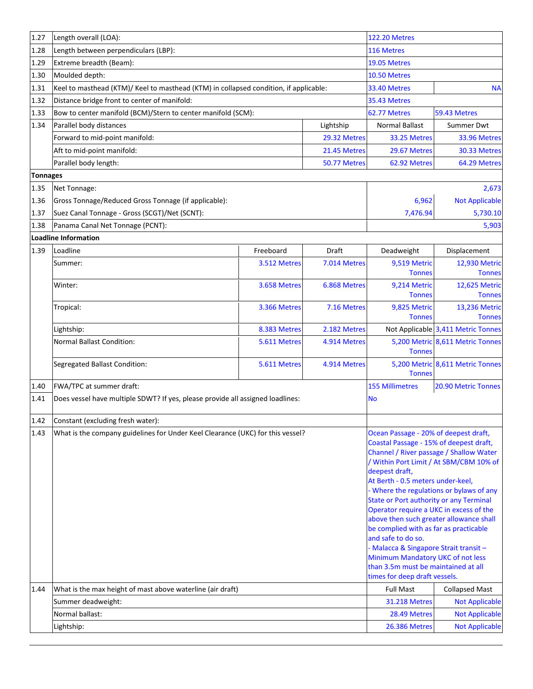| 1.27            | Length overall (LOA):                                                                 |              |              | <b>122.20 Metres</b>                                                                                                                                                                                                                                                                                                                                                                                                                                                                                                                                                                   |                                         |
|-----------------|---------------------------------------------------------------------------------------|--------------|--------------|----------------------------------------------------------------------------------------------------------------------------------------------------------------------------------------------------------------------------------------------------------------------------------------------------------------------------------------------------------------------------------------------------------------------------------------------------------------------------------------------------------------------------------------------------------------------------------------|-----------------------------------------|
| 1.28            | Length between perpendiculars (LBP):                                                  | 116 Metres   |              |                                                                                                                                                                                                                                                                                                                                                                                                                                                                                                                                                                                        |                                         |
| 1.29            | Extreme breadth (Beam):                                                               | 19.05 Metres |              |                                                                                                                                                                                                                                                                                                                                                                                                                                                                                                                                                                                        |                                         |
| 1.30            | Moulded depth:                                                                        | 10.50 Metres |              |                                                                                                                                                                                                                                                                                                                                                                                                                                                                                                                                                                                        |                                         |
| 1.31            | Keel to masthead (KTM)/ Keel to masthead (KTM) in collapsed condition, if applicable: |              |              | <b>33.40 Metres</b>                                                                                                                                                                                                                                                                                                                                                                                                                                                                                                                                                                    | <b>NA</b>                               |
| 1.32            | Distance bridge front to center of manifold:                                          |              | 35.43 Metres |                                                                                                                                                                                                                                                                                                                                                                                                                                                                                                                                                                                        |                                         |
| 1.33            | Bow to center manifold (BCM)/Stern to center manifold (SCM):                          | 62.77 Metres | 59.43 Metres |                                                                                                                                                                                                                                                                                                                                                                                                                                                                                                                                                                                        |                                         |
| 1.34            | Parallel body distances<br>Lightship                                                  |              |              | <b>Normal Ballast</b>                                                                                                                                                                                                                                                                                                                                                                                                                                                                                                                                                                  | Summer Dwt                              |
|                 | Forward to mid-point manifold:                                                        |              | 29.32 Metres | 33.25 Metres                                                                                                                                                                                                                                                                                                                                                                                                                                                                                                                                                                           | 33.96 Metres                            |
|                 | Aft to mid-point manifold:<br>21.45 Metres                                            |              |              | 29.67 Metres                                                                                                                                                                                                                                                                                                                                                                                                                                                                                                                                                                           | 30.33 Metres                            |
|                 | Parallel body length:                                                                 |              | 50.77 Metres | 62.92 Metres                                                                                                                                                                                                                                                                                                                                                                                                                                                                                                                                                                           | 64.29 Metres                            |
| <b>Tonnages</b> |                                                                                       |              |              |                                                                                                                                                                                                                                                                                                                                                                                                                                                                                                                                                                                        |                                         |
| 1.35            | Net Tonnage:                                                                          |              |              |                                                                                                                                                                                                                                                                                                                                                                                                                                                                                                                                                                                        | 2,673                                   |
| 1.36            | Gross Tonnage/Reduced Gross Tonnage (if applicable):                                  |              |              | 6,962                                                                                                                                                                                                                                                                                                                                                                                                                                                                                                                                                                                  | <b>Not Applicable</b>                   |
| 1.37            | Suez Canal Tonnage - Gross (SCGT)/Net (SCNT):                                         |              |              | 7,476.94                                                                                                                                                                                                                                                                                                                                                                                                                                                                                                                                                                               | 5,730.10                                |
| 1.38            | Panama Canal Net Tonnage (PCNT):                                                      |              |              |                                                                                                                                                                                                                                                                                                                                                                                                                                                                                                                                                                                        | 5,903                                   |
|                 | <b>Loadline Information</b>                                                           |              |              |                                                                                                                                                                                                                                                                                                                                                                                                                                                                                                                                                                                        |                                         |
| 1.39            | Loadline                                                                              | Freeboard    | Draft        | Deadweight                                                                                                                                                                                                                                                                                                                                                                                                                                                                                                                                                                             | Displacement                            |
|                 | Summer:                                                                               | 3.512 Metres | 7.014 Metres | 9,519 Metric<br><b>Tonnes</b>                                                                                                                                                                                                                                                                                                                                                                                                                                                                                                                                                          | 12,930 Metric<br><b>Tonnes</b>          |
|                 | Winter:                                                                               | 3.658 Metres | 6.868 Metres | 9,214 Metric<br><b>Tonnes</b>                                                                                                                                                                                                                                                                                                                                                                                                                                                                                                                                                          | 12,625 Metric<br><b>Tonnes</b>          |
|                 | Tropical:                                                                             | 3.366 Metres | 7.16 Metres  | 9,825 Metric<br><b>Tonnes</b>                                                                                                                                                                                                                                                                                                                                                                                                                                                                                                                                                          | 13,236 Metric<br><b>Tonnes</b>          |
|                 | Lightship:                                                                            | 8.383 Metres | 2.182 Metres |                                                                                                                                                                                                                                                                                                                                                                                                                                                                                                                                                                                        | Not Applicable 3,411 Metric Tonnes      |
|                 | <b>Normal Ballast Condition:</b>                                                      | 5.611 Metres | 4.914 Metres | <b>Tonnes</b>                                                                                                                                                                                                                                                                                                                                                                                                                                                                                                                                                                          | 5,200 Metric 8,611 Metric Tonnes        |
|                 | <b>Segregated Ballast Condition:</b>                                                  | 5.611 Metres | 4.914 Metres | <b>Tonnes</b>                                                                                                                                                                                                                                                                                                                                                                                                                                                                                                                                                                          | 5,200 Metric 8,611 Metric Tonnes        |
| 1.40            | FWA/TPC at summer draft:                                                              |              |              | <b>155 Millimetres</b>                                                                                                                                                                                                                                                                                                                                                                                                                                                                                                                                                                 | 20.90 Metric Tonnes                     |
| 1.41            | Does vessel have multiple SDWT? If yes, please provide all assigned loadlines:        |              |              | <b>No</b>                                                                                                                                                                                                                                                                                                                                                                                                                                                                                                                                                                              |                                         |
| 1.42            | Constant (excluding fresh water):                                                     |              |              |                                                                                                                                                                                                                                                                                                                                                                                                                                                                                                                                                                                        |                                         |
| 1.43            | What is the company guidelines for Under Keel Clearance (UKC) for this vessel?        |              |              | Ocean Passage - 20% of deepest draft,<br>Coastal Passage - 15% of deepest draft,<br>Channel / River passage / Shallow Water<br>deepest draft,<br>At Berth - 0.5 meters under-keel,<br>- Where the regulations or bylaws of any<br>State or Port authority or any Terminal<br>Operator require a UKC in excess of the<br>above then such greater allowance shall<br>be complied with as far as practicable<br>and safe to do so.<br>- Malacca & Singapore Strait transit -<br>Minimum Mandatory UKC of not less<br>than 3.5m must be maintained at all<br>times for deep draft vessels. | / Within Port Limit / At SBM/CBM 10% of |
| 1.44            | What is the max height of mast above waterline (air draft)                            |              |              | <b>Full Mast</b>                                                                                                                                                                                                                                                                                                                                                                                                                                                                                                                                                                       | <b>Collapsed Mast</b>                   |
|                 | Summer deadweight:                                                                    |              |              | <b>31.218 Metres</b>                                                                                                                                                                                                                                                                                                                                                                                                                                                                                                                                                                   | <b>Not Applicable</b>                   |
|                 | Normal ballast:                                                                       |              |              | 28.49 Metres                                                                                                                                                                                                                                                                                                                                                                                                                                                                                                                                                                           | <b>Not Applicable</b>                   |
|                 | Lightship:                                                                            |              |              | <b>26.386 Metres</b>                                                                                                                                                                                                                                                                                                                                                                                                                                                                                                                                                                   | <b>Not Applicable</b>                   |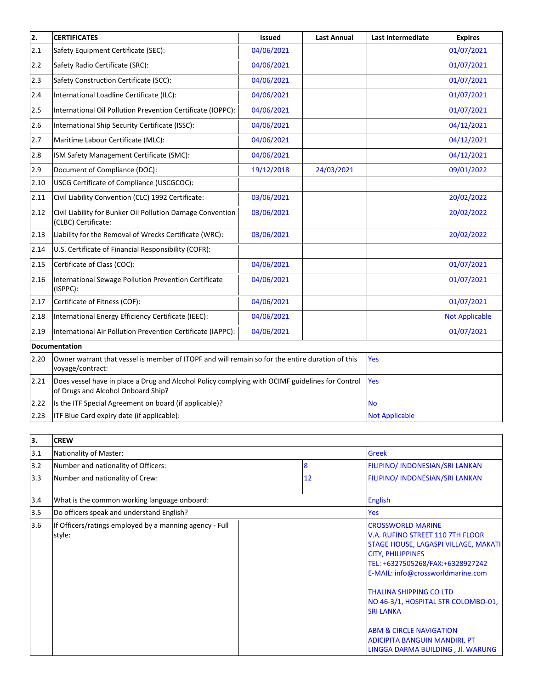| $\overline{2}$ . | <b>CERTIFICATES</b>                                                                                                                   | <b>Issued</b> | <b>Last Annual</b> | <b>Last Intermediate</b> | <b>Expires</b>        |
|------------------|---------------------------------------------------------------------------------------------------------------------------------------|---------------|--------------------|--------------------------|-----------------------|
| 2.1              | Safety Equipment Certificate (SEC):                                                                                                   | 04/06/2021    |                    |                          | 01/07/2021            |
| 2.2              | Safety Radio Certificate (SRC):                                                                                                       | 04/06/2021    |                    |                          | 01/07/2021            |
| 2.3              | Safety Construction Certificate (SCC):                                                                                                | 04/06/2021    |                    |                          | 01/07/2021            |
| 2.4              | International Loadline Certificate (ILC):                                                                                             | 04/06/2021    |                    |                          | 01/07/2021            |
| 2.5              | International Oil Pollution Prevention Certificate (IOPPC):                                                                           | 04/06/2021    |                    |                          | 01/07/2021            |
| 2.6              | International Ship Security Certificate (ISSC):                                                                                       | 04/06/2021    |                    |                          | 04/12/2021            |
| 2.7              | Maritime Labour Certificate (MLC):                                                                                                    | 04/06/2021    |                    |                          | 04/12/2021            |
| 2.8              | ISM Safety Management Certificate (SMC):                                                                                              | 04/06/2021    |                    |                          | 04/12/2021            |
| 2.9              | Document of Compliance (DOC):                                                                                                         | 19/12/2018    | 24/03/2021         |                          | 09/01/2022            |
| 2.10             | USCG Certificate of Compliance (USCGCOC):                                                                                             |               |                    |                          |                       |
| 2.11             | Civil Liability Convention (CLC) 1992 Certificate:                                                                                    | 03/06/2021    |                    |                          | 20/02/2022            |
| 2.12             | Civil Liability for Bunker Oil Pollution Damage Convention<br>(CLBC) Certificate:                                                     | 03/06/2021    |                    |                          | 20/02/2022            |
| 2.13             | Liability for the Removal of Wrecks Certificate (WRC):                                                                                | 03/06/2021    |                    |                          | 20/02/2022            |
| 2.14             | U.S. Certificate of Financial Responsibility (COFR):                                                                                  |               |                    |                          |                       |
| 2.15             | Certificate of Class (COC):                                                                                                           | 04/06/2021    |                    |                          | 01/07/2021            |
| 2.16             | International Sewage Pollution Prevention Certificate<br>(ISPPC):                                                                     | 04/06/2021    |                    |                          | 01/07/2021            |
| 2.17             | Certificate of Fitness (COF):                                                                                                         | 04/06/2021    |                    |                          | 01/07/2021            |
| 2.18             | International Energy Efficiency Certificate (IEEC):                                                                                   | 04/06/2021    |                    |                          | <b>Not Applicable</b> |
| 2.19             | International Air Pollution Prevention Certificate (IAPPC):                                                                           | 04/06/2021    |                    |                          | 01/07/2021            |
|                  | Documentation                                                                                                                         |               |                    |                          |                       |
| 2.20             | Owner warrant that vessel is member of ITOPF and will remain so for the entire duration of this<br>voyage/contract:                   |               | Yes                |                          |                       |
| 2.21             | Does vessel have in place a Drug and Alcohol Policy complying with OCIMF guidelines for Control<br>of Drugs and Alcohol Onboard Ship? |               |                    | Yes                      |                       |
| 2.22             | Is the ITF Special Agreement on board (if applicable)?                                                                                |               |                    | <b>No</b>                |                       |
| 2.23             | ITF Blue Card expiry date (if applicable):                                                                                            |               |                    | <b>Not Applicable</b>    |                       |

| 3.  | <b>CREW</b>                                                       |  |                                        |                                                                                                                                                                                                                                                                                                                                                                                                                           |  |
|-----|-------------------------------------------------------------------|--|----------------------------------------|---------------------------------------------------------------------------------------------------------------------------------------------------------------------------------------------------------------------------------------------------------------------------------------------------------------------------------------------------------------------------------------------------------------------------|--|
| 3.1 | Nationality of Master:                                            |  |                                        | <b>Greek</b>                                                                                                                                                                                                                                                                                                                                                                                                              |  |
| 3.2 | Number and nationality of Officers:<br>8                          |  | <b>FILIPINO/ INDONESIAN/SRI LANKAN</b> |                                                                                                                                                                                                                                                                                                                                                                                                                           |  |
| 3.3 | Number and nationality of Crew:                                   |  | 12                                     | <b>FILIPINO/ INDONESIAN/SRI LANKAN</b>                                                                                                                                                                                                                                                                                                                                                                                    |  |
| 3.4 | What is the common working language onboard:                      |  |                                        | <b>English</b>                                                                                                                                                                                                                                                                                                                                                                                                            |  |
| 3.5 | Do officers speak and understand English?                         |  |                                        | Yes                                                                                                                                                                                                                                                                                                                                                                                                                       |  |
| 3.6 | If Officers/ratings employed by a manning agency - Full<br>style: |  |                                        | <b>CROSSWORLD MARINE</b><br>V.A. RUFINO STREET 110 7TH FLOOR<br>STAGE HOUSE, LAGASPI VILLAGE, MAKATI<br><b>CITY, PHILIPPINES</b><br>TEL: +6327505268/FAX:+6328927242<br>E-MAIL: info@crossworldmarine.com<br><b>THALINA SHIPPING CO LTD</b><br>NO 46-3/1, HOSPITAL STR COLOMBO-01,<br><b>SRI LANKA</b><br><b>ABM &amp; CIRCLE NAVIGATION</b><br><b>ADICIPITA BANGUIN MANDIRI, PT</b><br>LINGGA DARMA BUILDING, Jl. WARUNG |  |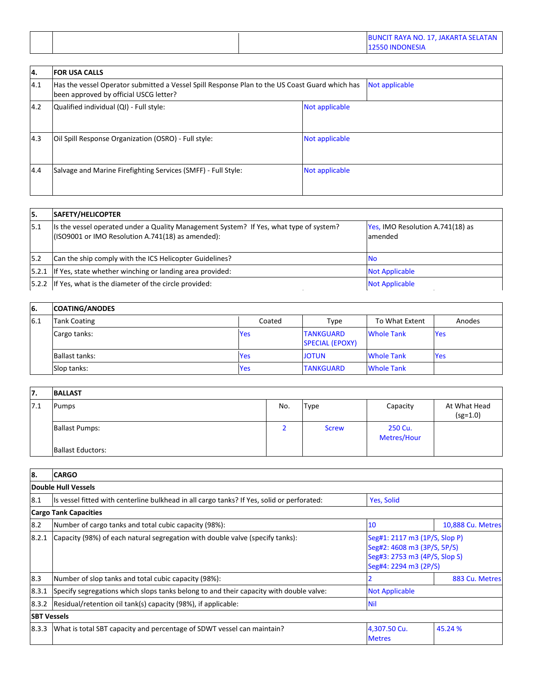| <b>BUNCIT RAYA NO. 17, JAKARTA SELATAN</b><br><b>12550 INDONESIA</b> |
|----------------------------------------------------------------------|
|----------------------------------------------------------------------|

| 14. | <b>FOR USA CALLS</b>                                                                                                                     |                |
|-----|------------------------------------------------------------------------------------------------------------------------------------------|----------------|
| 4.1 | Has the vessel Operator submitted a Vessel Spill Response Plan to the US Coast Guard which has<br>been approved by official USCG letter? | Not applicable |
| 4.2 | Qualified individual (QI) - Full style:                                                                                                  | Not applicable |
| 4.3 | Oil Spill Response Organization (OSRO) - Full style:                                                                                     | Not applicable |
| 4.4 | Salvage and Marine Firefighting Services (SMFF) - Full Style:                                                                            | Not applicable |

| 15.  | SAFETY/HELICOPTER                                                                                                                            |                                              |
|------|----------------------------------------------------------------------------------------------------------------------------------------------|----------------------------------------------|
| 15.1 | Its the vessel operated under a Quality Management System? If Yes, what type of system?<br>(ISO9001 or IMO Resolution A.741(18) as amended): | Yes, IMO Resolution A.741(18) as<br>lamended |
| 5.2  | Can the ship comply with the ICS Helicopter Guidelines?                                                                                      | <b>No</b>                                    |
|      | [5.2.1 If Yes, state whether winching or landing area provided:                                                                              | <b>Not Applicable</b>                        |
|      | [5.2.2 If Yes, what is the diameter of the circle provided:                                                                                  | <b>Not Applicable</b>                        |

| <sup>6.</sup> | <b>COATING/ANODES</b> |            |                                            |                   |            |
|---------------|-----------------------|------------|--------------------------------------------|-------------------|------------|
| 6.1           | <b>Tank Coating</b>   | Coated     | Type                                       | To What Extent    | Anodes     |
|               | Cargo tanks:          | <b>Yes</b> | <b>TANKGUARD</b><br><b>SPECIAL (EPOXY)</b> | <b>Whole Tank</b> | <b>Yes</b> |
|               | Ballast tanks:        | <b>Yes</b> | <b>JOTUN</b>                               | <b>Whole Tank</b> | <b>Yes</b> |
|               | Slop tanks:           | <b>Yes</b> | <b>TANKGUARD</b>                           | <b>Whole Tank</b> |            |

| 17. | <b>BALLAST</b>           |     |              |                        |                            |
|-----|--------------------------|-----|--------------|------------------------|----------------------------|
| 7.1 | Pumps                    | No. | Type         | Capacity               | At What Head<br>$(sg=1.0)$ |
|     | <b>Ballast Pumps:</b>    |     | <b>Screw</b> | 250 Cu.<br>Metres/Hour |                            |
|     | <b>Ballast Eductors:</b> |     |              |                        |                            |

| 18.                | <b>CARGO</b>                                                                                              |                                                                                                                        |                   |  |  |
|--------------------|-----------------------------------------------------------------------------------------------------------|------------------------------------------------------------------------------------------------------------------------|-------------------|--|--|
|                    | Double Hull Vessels                                                                                       |                                                                                                                        |                   |  |  |
| 8.1                | Its vessel fitted with centerline bulkhead in all cargo tanks? If Yes, solid or perforated:<br>Yes, Solid |                                                                                                                        |                   |  |  |
|                    | <b>Cargo Tank Capacities</b>                                                                              |                                                                                                                        |                   |  |  |
| 8.2                | Number of cargo tanks and total cubic capacity (98%):                                                     | 10                                                                                                                     | 10,888 Cu. Metres |  |  |
| 8.2.1              | Capacity (98%) of each natural segregation with double valve (specify tanks):                             | Seg#1: 2117 m3 (1P/S, Slop P)<br>Seg#2: 4608 m3 (3P/S, 5P/S)<br>Seg#3: 2753 m3 (4P/S, Slop S)<br>Seg#4: 2294 m3 (2P/S) |                   |  |  |
| 8.3                | Number of slop tanks and total cubic capacity (98%):                                                      |                                                                                                                        | 883 Cu. Metres    |  |  |
| 8.3.1              | Specify segregations which slops tanks belong to and their capacity with double valve:                    | <b>Not Applicable</b>                                                                                                  |                   |  |  |
| 8.3.2              | Residual/retention oil tank(s) capacity (98%), if applicable:                                             | <b>Nil</b>                                                                                                             |                   |  |  |
| <b>SBT Vessels</b> |                                                                                                           |                                                                                                                        |                   |  |  |
| 8.3.3              | What is total SBT capacity and percentage of SDWT vessel can maintain?                                    | 4,307.50 Cu.<br><b>Metres</b>                                                                                          | 45.24 %           |  |  |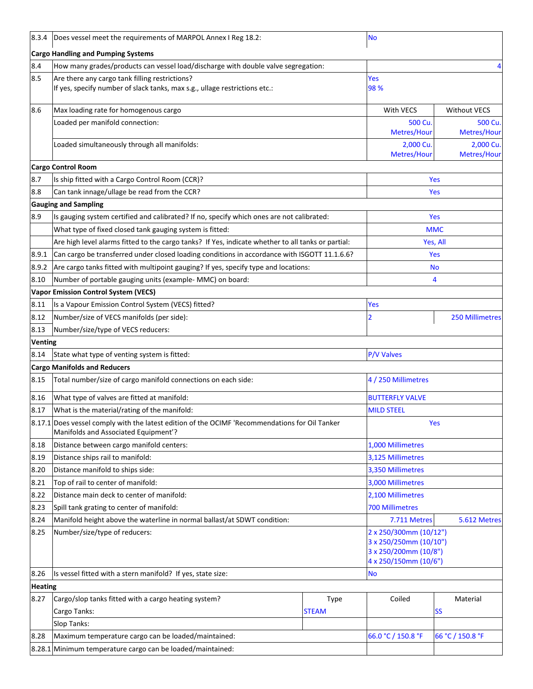| 8.3.4          | Does vessel meet the requirements of MARPOL Annex I Reg 18.2:                                                                          |              | <b>No</b>                                                                                          |                          |  |
|----------------|----------------------------------------------------------------------------------------------------------------------------------------|--------------|----------------------------------------------------------------------------------------------------|--------------------------|--|
|                | <b>Cargo Handling and Pumping Systems</b>                                                                                              |              |                                                                                                    |                          |  |
| 8.4            | How many grades/products can vessel load/discharge with double valve segregation:                                                      |              |                                                                                                    | 4                        |  |
| 8.5            | Are there any cargo tank filling restrictions?<br>If yes, specify number of slack tanks, max s.g., ullage restrictions etc.:           |              | Yes<br>98%                                                                                         |                          |  |
| 8.6            | Max loading rate for homogenous cargo                                                                                                  |              | With VECS                                                                                          | <b>Without VECS</b>      |  |
|                | Loaded per manifold connection:                                                                                                        |              | 500 Cu<br>Metres/Hour                                                                              | 500 Cu.<br>Metres/Hour   |  |
|                | Loaded simultaneously through all manifolds:                                                                                           |              | 2,000 Cu<br>Metres/Hour                                                                            | 2,000 Cu.<br>Metres/Hour |  |
|                | <b>Cargo Control Room</b>                                                                                                              |              |                                                                                                    |                          |  |
| 8.7            | Is ship fitted with a Cargo Control Room (CCR)?                                                                                        |              |                                                                                                    | Yes                      |  |
| 8.8            | Can tank innage/ullage be read from the CCR?                                                                                           |              |                                                                                                    | Yes                      |  |
|                | <b>Gauging and Sampling</b>                                                                                                            |              |                                                                                                    |                          |  |
| 8.9            | Is gauging system certified and calibrated? If no, specify which ones are not calibrated:                                              |              |                                                                                                    | <b>Yes</b>               |  |
|                | What type of fixed closed tank gauging system is fitted:                                                                               |              | <b>MMC</b>                                                                                         |                          |  |
|                | Are high level alarms fitted to the cargo tanks? If Yes, indicate whether to all tanks or partial:                                     |              |                                                                                                    | Yes, All                 |  |
| 8.9.1          | Can cargo be transferred under closed loading conditions in accordance with ISGOTT 11.1.6.6?                                           |              | Yes                                                                                                |                          |  |
| 8.9.2          | Are cargo tanks fitted with multipoint gauging? If yes, specify type and locations:                                                    |              | <b>No</b>                                                                                          |                          |  |
| 8.10           | Number of portable gauging units (example- MMC) on board:                                                                              |              | 4                                                                                                  |                          |  |
|                | <b>Vapor Emission Control System (VECS)</b>                                                                                            |              |                                                                                                    |                          |  |
| 8.11           | Is a Vapour Emission Control System (VECS) fitted?                                                                                     |              | Yes                                                                                                |                          |  |
| 8.12           | Number/size of VECS manifolds (per side):                                                                                              | 2            | <b>250 Millimetres</b>                                                                             |                          |  |
| 8.13           | Number/size/type of VECS reducers:                                                                                                     |              |                                                                                                    |                          |  |
| <b>Venting</b> |                                                                                                                                        |              |                                                                                                    |                          |  |
| 8.14           | State what type of venting system is fitted:                                                                                           |              | P/V Valves                                                                                         |                          |  |
|                | <b>Cargo Manifolds and Reducers</b>                                                                                                    |              |                                                                                                    |                          |  |
| 8.15           | Total number/size of cargo manifold connections on each side:                                                                          |              | 4 / 250 Millimetres                                                                                |                          |  |
| 8.16           | What type of valves are fitted at manifold:                                                                                            |              | <b>BUTTERFLY VALVE</b>                                                                             |                          |  |
| 8.17           | What is the material/rating of the manifold:                                                                                           |              | <b>MILD STEEL</b>                                                                                  |                          |  |
|                | 8.17.1 Does vessel comply with the latest edition of the OCIMF 'Recommendations for Oil Tanker<br>Manifolds and Associated Equipment'? |              | Yes                                                                                                |                          |  |
| 8.18           | Distance between cargo manifold centers:                                                                                               |              | 1,000 Millimetres                                                                                  |                          |  |
| 8.19           | Distance ships rail to manifold:                                                                                                       |              | 3,125 Millimetres                                                                                  |                          |  |
| 8.20           | Distance manifold to ships side:                                                                                                       |              | 3,350 Millimetres                                                                                  |                          |  |
| 8.21           | Top of rail to center of manifold:                                                                                                     |              | 3,000 Millimetres                                                                                  |                          |  |
| 8.22           | Distance main deck to center of manifold:                                                                                              |              | 2,100 Millimetres                                                                                  |                          |  |
| 8.23           | Spill tank grating to center of manifold:                                                                                              |              | <b>700 Millimetres</b>                                                                             |                          |  |
| 8.24           | Manifold height above the waterline in normal ballast/at SDWT condition:                                                               |              | 7.711 Metres                                                                                       | 5.612 Metres             |  |
| 8.25           | Number/size/type of reducers:                                                                                                          |              | 2 x 250/300mm (10/12")<br>3 x 250/250mm (10/10")<br>3 x 250/200mm (10/8")<br>4 x 250/150mm (10/6") |                          |  |
| 8.26           | Is vessel fitted with a stern manifold? If yes, state size:                                                                            |              | <b>No</b>                                                                                          |                          |  |
| <b>Heating</b> |                                                                                                                                        |              |                                                                                                    |                          |  |
| 8.27           | Cargo/slop tanks fitted with a cargo heating system?                                                                                   | Type         | Coiled                                                                                             | Material                 |  |
|                | Cargo Tanks:<br>Slop Tanks:                                                                                                            | <b>STEAM</b> |                                                                                                    | <b>SS</b>                |  |
| 8.28           | Maximum temperature cargo can be loaded/maintained:                                                                                    |              | 66.0 °C / 150.8 °F                                                                                 | 66 °C / 150.8 °F         |  |
|                | 8.28.1 Minimum temperature cargo can be loaded/maintained:                                                                             |              |                                                                                                    |                          |  |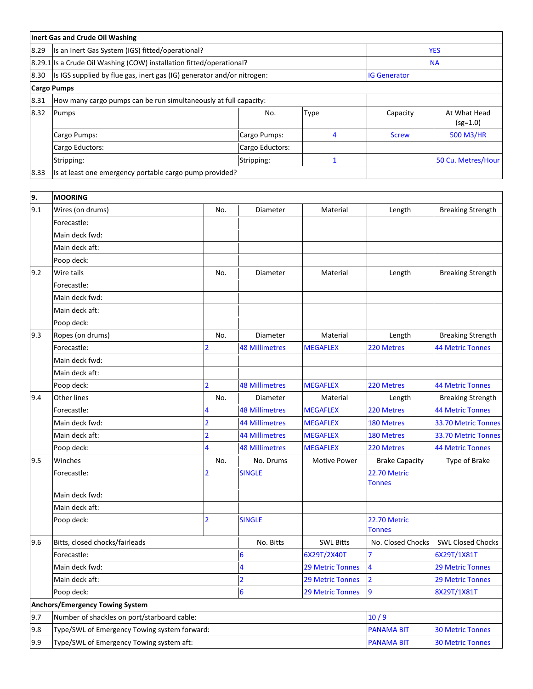|      | Inert Gas and Crude Oil Washing                                        |                |                       |                         |                               |                            |  |
|------|------------------------------------------------------------------------|----------------|-----------------------|-------------------------|-------------------------------|----------------------------|--|
| 8.29 | Is an Inert Gas System (IGS) fitted/operational?                       |                |                       |                         | <b>YES</b>                    |                            |  |
|      | 8.29.1 Is a Crude Oil Washing (COW) installation fitted/operational?   |                | <b>NA</b>             |                         |                               |                            |  |
| 8.30 | Is IGS supplied by flue gas, inert gas (IG) generator and/or nitrogen: |                |                       |                         | <b>IG Generator</b>           |                            |  |
|      | <b>Cargo Pumps</b>                                                     |                |                       |                         |                               |                            |  |
| 8.31 | How many cargo pumps can be run simultaneously at full capacity:       |                |                       |                         |                               |                            |  |
| 8.32 | Pumps                                                                  |                | No.                   | Type                    | Capacity                      | At What Head<br>$(sg=1.0)$ |  |
|      | Cargo Pumps:                                                           |                | Cargo Pumps:          | 4                       | <b>Screw</b>                  | 500 M3/HR                  |  |
|      | Cargo Eductors:                                                        |                | Cargo Eductors:       |                         |                               |                            |  |
|      | Stripping:                                                             |                | Stripping:            | $\mathbf{1}$            |                               | 50 Cu. Metres/Hour         |  |
| 8.33 | Is at least one emergency portable cargo pump provided?                |                |                       |                         |                               |                            |  |
|      |                                                                        |                |                       |                         |                               |                            |  |
| 9.   | <b>MOORING</b>                                                         |                |                       |                         |                               |                            |  |
| 9.1  | Wires (on drums)                                                       | No.            | Diameter              | Material                | Length                        | <b>Breaking Strength</b>   |  |
|      | Forecastle:                                                            |                |                       |                         |                               |                            |  |
|      | Main deck fwd:                                                         |                |                       |                         |                               |                            |  |
|      | Main deck aft:                                                         |                |                       |                         |                               |                            |  |
|      | Poop deck:                                                             |                |                       |                         |                               |                            |  |
| 9.2  | Wire tails                                                             | No.            | Diameter              | Material                | Length                        | <b>Breaking Strength</b>   |  |
|      | Forecastle:                                                            |                |                       |                         |                               |                            |  |
|      | Main deck fwd:                                                         |                |                       |                         |                               |                            |  |
|      | Main deck aft:                                                         |                |                       |                         |                               |                            |  |
|      | Poop deck:                                                             |                |                       |                         |                               |                            |  |
| 9.3  | Ropes (on drums)                                                       | No.            | Diameter              | Material                | Length                        | <b>Breaking Strength</b>   |  |
|      | Forecastle:                                                            | 2              | <b>48 Millimetres</b> | <b>MEGAFLEX</b>         | 220 Metres                    | <b>44 Metric Tonnes</b>    |  |
|      | Main deck fwd:                                                         |                |                       |                         |                               |                            |  |
|      | Main deck aft:                                                         |                |                       |                         |                               |                            |  |
|      | Poop deck:                                                             | $\overline{2}$ | <b>48 Millimetres</b> | <b>MEGAFLEX</b>         | 220 Metres                    | <b>44 Metric Tonnes</b>    |  |
| 9.4  | <b>Other lines</b>                                                     | No.            | Diameter              | Material                | Length                        | <b>Breaking Strength</b>   |  |
|      | Forecastle:                                                            | 4              | <b>48 Millimetres</b> | <b>MEGAFLEX</b>         | 220 Metres                    | <b>44 Metric Tonnes</b>    |  |
|      | Main deck fwd:                                                         |                | <b>44 Millimetres</b> | <b>MEGAFLEX</b>         | 180 Metres                    | 33.70 Metric Tonnes        |  |
|      | Main deck aft:                                                         | $\overline{2}$ | <b>44 Millimetres</b> | <b>MEGAFLEX</b>         | 180 Metres                    | 33.70 Metric Tonnes        |  |
|      | Poop deck:                                                             | 4              | <b>48 Millimetres</b> | <b>MEGAFLEX</b>         | 220 Metres                    | <b>44 Metric Tonnes</b>    |  |
| 9.5  | Winches                                                                | No.            | No. Drums             | <b>Motive Power</b>     | <b>Brake Capacity</b>         | Type of Brake              |  |
|      | Forecastle:                                                            | 2              | <b>SINGLE</b>         |                         | 22.70 Metric<br><b>Tonnes</b> |                            |  |
|      | Main deck fwd:                                                         |                |                       |                         |                               |                            |  |
|      | Main deck aft:                                                         |                |                       |                         |                               |                            |  |
|      | Poop deck:                                                             | $\overline{2}$ | <b>SINGLE</b>         |                         | 22.70 Metric<br><b>Tonnes</b> |                            |  |
| 9.6  | Bitts, closed chocks/fairleads                                         |                | No. Bitts             | <b>SWL Bitts</b>        | No. Closed Chocks             | <b>SWL Closed Chocks</b>   |  |
|      | Forecastle:                                                            |                | 6                     | 6X29T/2X40T             |                               | 6X29T/1X81T                |  |
|      | Main deck fwd:                                                         |                | 4                     | <b>29 Metric Tonnes</b> | 4                             | <b>29 Metric Tonnes</b>    |  |
|      | Main deck aft:                                                         |                | $\overline{2}$        | <b>29 Metric Tonnes</b> | $\overline{2}$                | <b>29 Metric Tonnes</b>    |  |
|      | Poop deck:                                                             |                | 6                     | <b>29 Metric Tonnes</b> | 9                             | 8X29T/1X81T                |  |
|      | <b>Anchors/Emergency Towing System</b>                                 |                |                       |                         |                               |                            |  |
| 9.7  | Number of shackles on port/starboard cable:                            |                |                       |                         | 10/9                          |                            |  |
| 9.8  | Type/SWL of Emergency Towing system forward:                           |                |                       |                         | <b>PANAMA BIT</b>             | <b>30 Metric Tonnes</b>    |  |
| 9.9  | Type/SWL of Emergency Towing system aft:                               |                |                       |                         | <b>PANAMA BIT</b>             | <b>30 Metric Tonnes</b>    |  |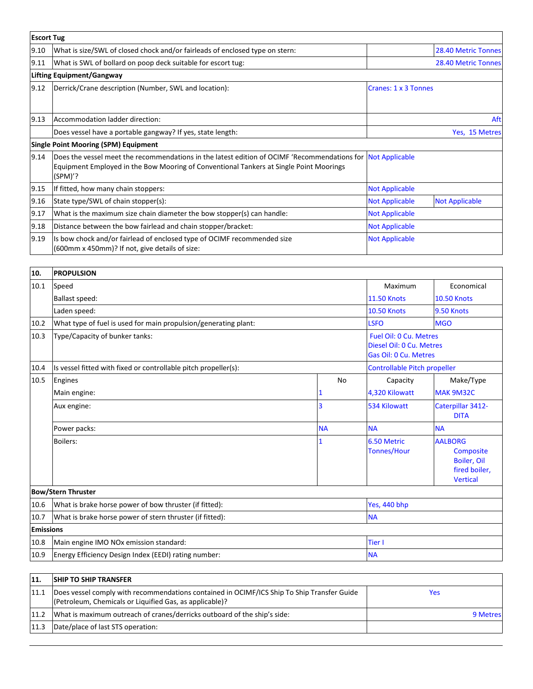| <b>Escort Tug</b> |                                                                                                                                                                                                                    |                       |                       |
|-------------------|--------------------------------------------------------------------------------------------------------------------------------------------------------------------------------------------------------------------|-----------------------|-----------------------|
| 9.10              | What is size/SWL of closed chock and/or fairleads of enclosed type on stern:                                                                                                                                       |                       | 28.40 Metric Tonnes   |
| 9.11              | What is SWL of bollard on poop deck suitable for escort tug:                                                                                                                                                       |                       | 28.40 Metric Tonnes   |
|                   | Lifting Equipment/Gangway                                                                                                                                                                                          |                       |                       |
| 9.12              | Derrick/Crane description (Number, SWL and location):                                                                                                                                                              | Cranes: 1 x 3 Tonnes  |                       |
| 9.13              | Accommodation ladder direction:                                                                                                                                                                                    | Aft                   |                       |
|                   | Does vessel have a portable gangway? If yes, state length:                                                                                                                                                         | Yes, 15 Metres        |                       |
|                   | <b>Single Point Mooring (SPM) Equipment</b>                                                                                                                                                                        |                       |                       |
| 9.14              | Does the vessel meet the recommendations in the latest edition of OCIMF 'Recommendations for Not Applicable<br>Equipment Employed in the Bow Mooring of Conventional Tankers at Single Point Moorings<br>$(SPM)$ ? |                       |                       |
| 9.15              | If fitted, how many chain stoppers:                                                                                                                                                                                | <b>Not Applicable</b> |                       |
| 9.16              | State type/SWL of chain stopper(s):                                                                                                                                                                                | <b>Not Applicable</b> | <b>Not Applicable</b> |
| 9.17              | What is the maximum size chain diameter the bow stopper(s) can handle:                                                                                                                                             | <b>Not Applicable</b> |                       |
| 9.18              | Distance between the bow fairlead and chain stopper/bracket:                                                                                                                                                       | <b>Not Applicable</b> |                       |
| 9.19              | Is bow chock and/or fairlead of enclosed type of OCIMF recommended size<br>(600mm x 450mm)? If not, give details of size:                                                                                          | <b>Not Applicable</b> |                       |

| 10.              | <b>PROPULSION</b>                                               |              |                                                                                    |                                                                                |  |
|------------------|-----------------------------------------------------------------|--------------|------------------------------------------------------------------------------------|--------------------------------------------------------------------------------|--|
| 10.1             | Speed                                                           |              | Maximum                                                                            | Economical                                                                     |  |
|                  | Ballast speed:                                                  |              | <b>11.50 Knots</b>                                                                 | <b>10.50 Knots</b>                                                             |  |
|                  | Laden speed:                                                    |              | <b>10.50 Knots</b>                                                                 | 9.50 Knots                                                                     |  |
| 10.2             | What type of fuel is used for main propulsion/generating plant: |              |                                                                                    | <b>MGO</b>                                                                     |  |
| 10.3             | Type/Capacity of bunker tanks:                                  |              | <b>Fuel Oil: 0 Cu. Metres</b><br>Diesel Oil: 0 Cu. Metres<br>Gas Oil: 0 Cu. Metres |                                                                                |  |
| 10.4             | Is vessel fitted with fixed or controllable pitch propeller(s): |              |                                                                                    | Controllable Pitch propeller                                                   |  |
| 10.5             | Engines                                                         | No           | Capacity                                                                           | Make/Type                                                                      |  |
|                  | Main engine:                                                    | 1            | 4,320 Kilowatt                                                                     | MAK 9M32C                                                                      |  |
|                  | Aux engine:                                                     | 3            | 534 Kilowatt                                                                       | Caterpillar 3412-<br><b>DITA</b>                                               |  |
|                  | Power packs:                                                    | <b>NA</b>    | <b>NA</b>                                                                          | <b>NA</b>                                                                      |  |
|                  | <b>Boilers:</b>                                                 | $\mathbf{1}$ | 6.50 Metric<br><b>Tonnes/Hour</b>                                                  | <b>AALBORG</b><br>Composite<br>Boiler, Oil<br>fired boiler,<br><b>Vertical</b> |  |
|                  | <b>Bow/Stern Thruster</b>                                       |              |                                                                                    |                                                                                |  |
| 10.6             | What is brake horse power of bow thruster (if fitted):          |              | Yes, 440 bhp                                                                       |                                                                                |  |
| 10.7             | What is brake horse power of stern thruster (if fitted):        |              | <b>NA</b>                                                                          |                                                                                |  |
| <b>Emissions</b> |                                                                 |              |                                                                                    |                                                                                |  |
| 10.8             | Main engine IMO NOx emission standard:                          |              | <b>Tier I</b>                                                                      |                                                                                |  |
| 10.9             | Energy Efficiency Design Index (EEDI) rating number:            |              | <b>NA</b>                                                                          |                                                                                |  |

| 11   | <b>SHIP TO SHIP TRANSFER</b>                                                                                                                          |          |
|------|-------------------------------------------------------------------------------------------------------------------------------------------------------|----------|
| 11.1 | Does vessel comply with recommendations contained in OCIMF/ICS Ship To Ship Transfer Guide<br>(Petroleum, Chemicals or Liquified Gas, as applicable)? | Yes      |
| 11.2 | What is maximum outreach of cranes/derricks outboard of the ship's side:                                                                              | 9 Metres |
| 11.3 | Date/place of last STS operation:                                                                                                                     |          |